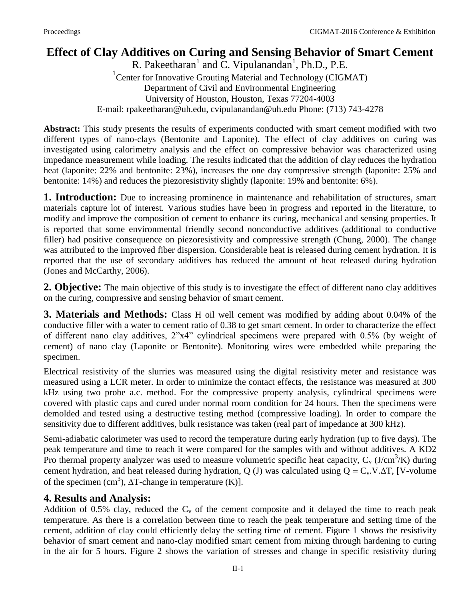# **Effect of Clay Additives on Curing and Sensing Behavior of Smart Cement**

R. Pakeetharan<sup>1</sup> and C. Vipulanandan<sup>1</sup>, Ph.D., P.E. <sup>1</sup> Center for Innovative Grouting Material and Technology (CIGMAT) Department of Civil and Environmental Engineering University of Houston, Houston, Texas 77204-4003 E-mail: [rpakeetharan@uh.edu,](mailto:rpakeetharan@uh.edu) cvipulanandan@uh.edu Phone: (713) 743-4278

**Abstract:** This study presents the results of experiments conducted with smart cement modified with two different types of nano-clays (Bentonite and Laponite). The effect of clay additives on curing was investigated using calorimetry analysis and the effect on compressive behavior was characterized using impedance measurement while loading. The results indicated that the addition of clay reduces the hydration heat (laponite: 22% and bentonite: 23%), increases the one day compressive strength (laponite: 25% and bentonite: 14%) and reduces the piezoresistivity slightly (laponite: 19% and bentonite: 6%).

**1. Introduction:** Due to increasing prominence in maintenance and rehabilitation of structures, smart materials capture lot of interest. Various studies have been in progress and reported in the literature, to modify and improve the composition of cement to enhance its curing, mechanical and sensing properties. It is reported that some environmental friendly second nonconductive additives (additional to conductive filler) had positive consequence on piezoresistivity and compressive strength (Chung, 2000). The change was attributed to the improved fiber dispersion. Considerable heat is released during cement hydration. It is reported that the use of secondary additives has reduced the amount of heat released during hydration (Jones and McCarthy, 2006).

**2. Objective:** The main objective of this study is to investigate the effect of different nano clay additives on the curing, compressive and sensing behavior of smart cement.

**3. Materials and Methods:** Class H oil well cement was modified by adding about 0.04% of the conductive filler with a water to cement ratio of 0.38 to get smart cement. In order to characterize the effect of different nano clay additives, 2"x4" cylindrical specimens were prepared with 0.5% (by weight of cement) of nano clay (Laponite or Bentonite). Monitoring wires were embedded while preparing the specimen.

Electrical resistivity of the slurries was measured using the digital resistivity meter and resistance was measured using a LCR meter. In order to minimize the contact effects, the resistance was measured at 300 kHz using two probe a.c. method. For the compressive property analysis, cylindrical specimens were covered with plastic caps and cured under normal room condition for 24 hours. Then the specimens were demolded and tested using a destructive testing method (compressive loading). In order to compare the sensitivity due to different additives, bulk resistance was taken (real part of impedance at 300 kHz).

Semi-adiabatic calorimeter was used to record the temperature during early hydration (up to five days). The peak temperature and time to reach it were compared for the samples with and without additives. A KD2 Pro thermal property analyzer was used to measure volumetric specific heat capacity,  $C_v$  (J/cm<sup>3</sup>/K) during cement hydration, and heat released during hydration, Q (J) was calculated using  $Q = C_v.V.\Delta T$ , [V-volume of the specimen (cm<sup>3</sup>),  $\Delta T$ -change in temperature (K)].

### **4. Results and Analysis:**

Addition of 0.5% clay, reduced the  $C_v$  of the cement composite and it delayed the time to reach peak temperature. As there is a correlation between time to reach the peak temperature and setting time of the cement, addition of clay could efficiently delay the setting time of cement. Figure 1 shows the resistivity behavior of smart cement and nano-clay modified smart cement from mixing through hardening to curing in the air for 5 hours. Figure 2 shows the variation of stresses and change in specific resistivity during